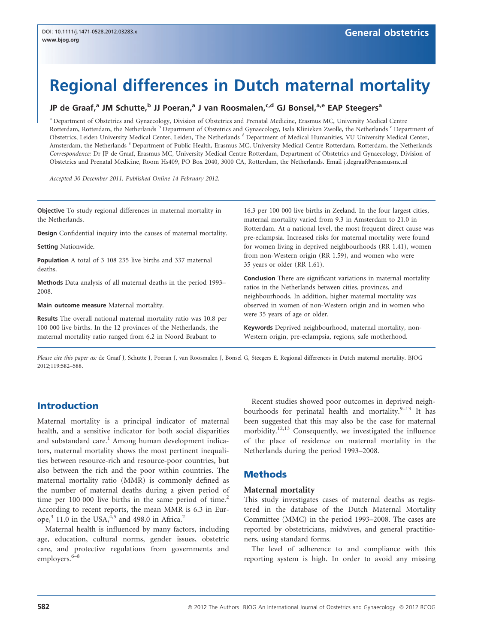# Regional differences in Dutch maternal mortality

## JP de Graaf,<sup>a</sup> JM Schutte,<sup>b</sup> JJ Poeran,<sup>a</sup> J van Roosmalen,<sup>c,d</sup> GJ Bonsel,<sup>a,e</sup> EAP Steegers<sup>a</sup>

<sup>a</sup> Department of Obstetrics and Gynaecology, Division of Obstetrics and Prenatal Medicine, Erasmus MC, University Medical Centre Rotterdam, Rotterdam, the Netherlands <sup>b</sup> Department of Obstetrics and Gynaecology, Isala Klinieken Zwolle, the Netherlands <sup>c</sup> Department of Obstetrics, Leiden University Medical Center, Leiden, The Netherlands <sup>d</sup> Department of Medical Humanities, VU University Medical Center, Amsterdam, the Netherlands <sup>e</sup> Department of Public Health, Erasmus MC, University Medical Centre Rotterdam, Rotterdam, the Netherlands Correspondence: Dr JP de Graaf, Erasmus MC, University Medical Centre Rotterdam, Department of Obstetrics and Gynaecology, Division of Obstetrics and Prenatal Medicine, Room Hs409, PO Box 2040, 3000 CA, Rotterdam, the Netherlands. Email j.degraaf@erasmusmc.nl

Accepted 30 December 2011. Published Online 14 February 2012.

| <b>Objective</b> To study regional differences in maternal mortality in<br>the Netherlands. | 16.3 per 100 000 live births in Zeeland. In the four largest cities,<br>maternal mortality varied from 9.3 in Amsterdam to 21.0 in                                                                 |
|---------------------------------------------------------------------------------------------|----------------------------------------------------------------------------------------------------------------------------------------------------------------------------------------------------|
| Design Confidential inquiry into the causes of maternal mortality.                          | Rotterdam. At a national level, the most frequent direct cause was<br>pre-eclampsia. Increased risks for maternal mortality were found                                                             |
| <b>Setting Nationwide.</b>                                                                  | for women living in deprived neighbourhoods (RR 1.41), women                                                                                                                                       |
| Population A total of 3 108 235 live births and 337 maternal<br>deaths.                     | from non-Western origin (RR 1.59), and women who were<br>35 years or older (RR 1.61).                                                                                                              |
| Methods Data analysis of all maternal deaths in the period 1993–<br>2008.                   | <b>Conclusion</b> There are significant variations in maternal mortality<br>ratios in the Netherlands between cities, provinces, and<br>neighbourhoods. In addition, higher maternal mortality was |
| Main outcome measure Maternal mortality.                                                    | observed in women of non-Western origin and in women who                                                                                                                                           |
| Results The overall national maternal mortality ratio was 10.8 per                          | were 35 years of age or older.                                                                                                                                                                     |
| 100 000 live births. In the 12 provinces of the Netherlands, the                            | Keywords Deprived neighbourhood, maternal mortality, non-                                                                                                                                          |
| maternal mortality ratio ranged from 6.2 in Noord Brabant to                                | Western origin, pre-eclampsia, regions, safe motherhood.                                                                                                                                           |

Please cite this paper as: de Graaf J, Schutte J, Poeran J, van Roosmalen J, Bonsel G, Steegers E. Regional differences in Dutch maternal mortality. BJOG 2012;119:582–588.

## Introduction

Maternal mortality is a principal indicator of maternal health, and a sensitive indicator for both social disparities and substandard care.<sup>1</sup> Among human development indicators, maternal mortality shows the most pertinent inequalities between resource-rich and resource-poor countries, but also between the rich and the poor within countries. The maternal mortality ratio (MMR) is commonly defined as the number of maternal deaths during a given period of time per 100 000 live births in the same period of time.<sup>2</sup> According to recent reports, the mean MMR is 6.3 in Europe, $3$  11.0 in the USA, $4.5$  and 498.0 in Africa.<sup>2</sup>

Maternal health is influenced by many factors, including age, education, cultural norms, gender issues, obstetric care, and protective regulations from governments and employers.<sup>6–8</sup>

Recent studies showed poor outcomes in deprived neighbourhoods for perinatal health and mortality. $9-13$  It has been suggested that this may also be the case for maternal morbidity.<sup>12,13</sup> Consequently, we investigated the influence of the place of residence on maternal mortality in the Netherlands during the period 1993–2008.

# **Methods**

### Maternal mortality

This study investigates cases of maternal deaths as registered in the database of the Dutch Maternal Mortality Committee (MMC) in the period 1993–2008. The cases are reported by obstetricians, midwives, and general practitioners, using standard forms.

The level of adherence to and compliance with this reporting system is high. In order to avoid any missing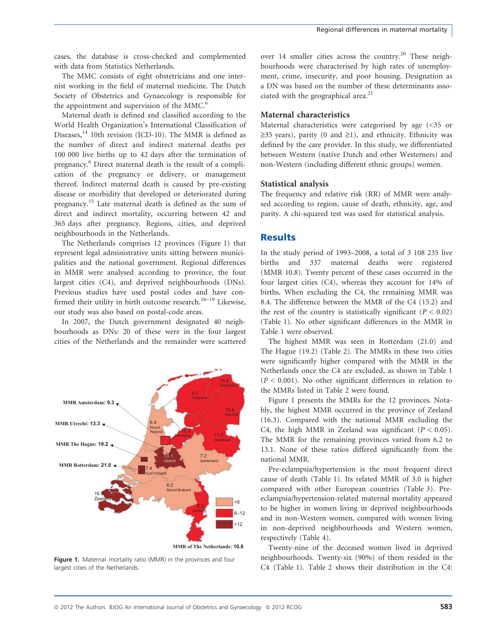cases, the database is cross-checked and complemented with data from Statistics Netherlands.

The MMC consists of eight obstetricians and one internist working in the field of maternal medicine. The Dutch Society of Obstetrics and Gynaecology is responsible for the appointment and supervision of the MMC.<sup>6</sup>

Maternal death is defined and classified according to the World Health Organization's International Classification of Diseases, $^{14}$  10th revision (ICD-10). The MMR is defined as the number of direct and indirect maternal deaths per 100 000 live births up to 42 days after the termination of pregnancy.<sup>6</sup> Direct maternal death is the result of a complication of the pregnancy or delivery, or management thereof. Indirect maternal death is caused by pre-existing disease or morbidity that developed or deteriorated during pregnancy.<sup>15</sup> Late maternal death is defined as the sum of direct and indirect mortality, occurring between 42 and 365 days after pregnancy. Regions, cities, and deprived neighbourhoods in the Netherlands.

The Netherlands comprises 12 provinces (Figure 1) that represent legal administrative units sitting between municipalities and the national government. Regional differences in MMR were analysed according to province, the four largest cities (C4), and deprived neighbourhoods (DNs). Previous studies have used postal codes and have confirmed their utility in birth outcome research.<sup>16–19</sup> Likewise, our study was also based on postal-code areas.

In 2007, the Dutch government designated 40 neighbourhoods as DNs: 20 of these were in the four largest cities of the Netherlands and the remainder were scattered



Figure 1. Maternal mortality ratio (MMR) in the provinces and four largest cities of the Netherlands.

over 14 smaller cities across the country.<sup>20</sup> These neighbourhoods were characterised by high rates of unemployment, crime, insecurity, and poor housing. Designation as a DN was based on the number of these determinants associated with the geographical area.<sup>21</sup>

#### Maternal characteristics

Maternal characteristics were categorised by age (<35 or  $\geq$ 35 years), parity (0 and  $\geq$ 1), and ethnicity. Ethnicity was defined by the care provider. In this study, we differentiated between Western (native Dutch and other Westerners) and non-Western (including different ethnic groups) women.

#### Statistical analysis

The frequency and relative risk (RR) of MMR were analysed according to region, cause of death, ethnicity, age, and parity. A chi-squared test was used for statistical analysis.

## **Results**

In the study period of 1993–2008, a total of 3 108 235 live births and 337 maternal deaths were registered (MMR 10.8). Twenty percent of these cases occurred in the four largest cities (C4), whereas they account for 14% of births. When excluding the C4, the remaining MMR was 8.4. The difference between the MMR of the C4 (15.2) and the rest of the country is statistically significant  $(P < 0.02)$ (Table 1). No other significant differences in the MMR in Table 1 were observed.

The highest MMR was seen in Rotterdam (21.0) and The Hague (19.2) (Table 2). The MMRs in these two cities were significantly higher compared with the MMR in the Netherlands once the C4 are excluded, as shown in Table 1  $(P < 0.001)$ . No other significant differences in relation to the MMRs listed in Table 2 were found.

Figure 1 presents the MMRs for the 12 provinces. Notably, the highest MMR occurred in the province of Zeeland (16.3). Compared with the national MMR excluding the C4, the high MMR in Zeeland was significant ( $P < 0.05$ ). The MMR for the remaining provinces varied from 6.2 to 13.1. None of these ratios differed significantly from the national MMR.

Pre-eclampsia/hypertension is the most frequent direct cause of death (Table 1). Its related MMR of 3.0 is higher compared with other European countries (Table 3). Preeclampsia/hypertension-related maternal mortality appeared to be higher in women living in deprived neighbourhoods and in non-Western women, compared with women living in non-deprived neighbourhoods and Western women, respectively (Table 4).

Twenty-nine of the deceased women lived in deprived neighbourhoods. Twenty-six (90%) of them resided in the C4 (Table 1). Table 2 shows their distribution in the C4: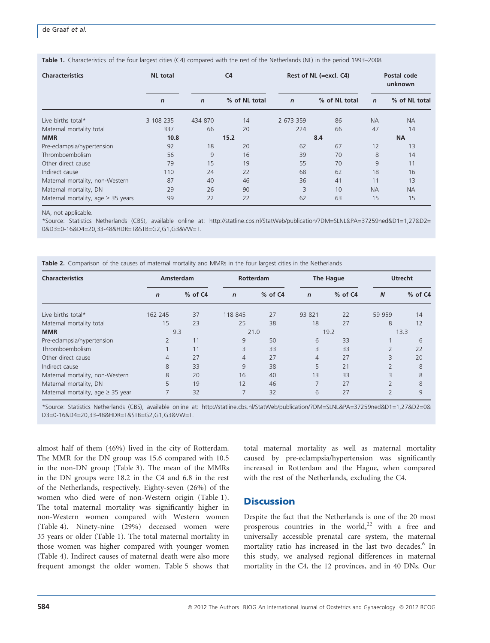| <b>Characteristics</b>                  | <b>NL</b> total |             | C <sub>4</sub> |             | Rest of NL (=excl. C4) | Postal code<br>unknown |               |  |
|-----------------------------------------|-----------------|-------------|----------------|-------------|------------------------|------------------------|---------------|--|
|                                         | $\mathbf n$     | $\mathbf n$ | % of NL total  | $\mathbf n$ | % of NL total          | $\mathbf n$            | % of NL total |  |
| Live births total*                      | 3 108 235       | 434 870     | 14             | 2 673 359   | 86                     | <b>NA</b>              | <b>NA</b>     |  |
| Maternal mortality total                | 337             | 66          | 20             | 224         | 66                     | 47                     | 14            |  |
| <b>MMR</b>                              | 10.8            |             | 15.2           |             | 8.4                    |                        | <b>NA</b>     |  |
| Pre-eclampsia/hypertension              | 92              | 18          | 20             | 62          | 67                     | 12                     | 13            |  |
| Thromboembolism                         | 56              | 9           | 16             | 39          | 70                     | 8                      | 14            |  |
| Other direct cause                      | 79              | 15          | 19             | 55          | 70                     | 9                      | 11            |  |
| Indirect cause                          | 110             | 24          | 22             | 68          | 62                     | 18                     | 16            |  |
| Maternal mortality, non-Western         | 87              | 40          | 46             | 36          | 41                     | 11                     | 13            |  |
| Maternal mortality, DN                  | 29              | 26          | 90             | 3           | 10                     | <b>NA</b>              | <b>NA</b>     |  |
| Maternal mortality, age $\geq$ 35 years | 99              | 22          | 22             | 62          | 63                     | 15                     | 15            |  |

| Table 1. Characteristics of the four largest cities (C4) compared with the rest of the Netherlands (NL) in the period 1993–2008 |  |
|---------------------------------------------------------------------------------------------------------------------------------|--|
|---------------------------------------------------------------------------------------------------------------------------------|--|

NA, not applicable.

\*Source: Statistics Netherlands (CBS), available online at: http://statline.cbs.nl/StatWeb/publication/?DM=SLNL&PA=37259ned&D1=1,27&D2= 0&D3=0-16&D4=20,33-48&HDR=T&STB=G2,G1,G3&VW=T.

Table 2. Comparison of the causes of maternal mortality and MMRs in the four largest cities in the Netherlands

| <b>Characteristics</b>                 |             | <b>Amsterdam</b> |                | <b>Rotterdam</b> |                | The Hague | <b>Utrecht</b>   |           |  |
|----------------------------------------|-------------|------------------|----------------|------------------|----------------|-----------|------------------|-----------|--|
|                                        | $\mathbf n$ | $%$ of C4        | $\mathbf n$    | $%$ of C4        | $\mathbf n$    | $%$ of C4 | $\boldsymbol{N}$ | $%$ of C4 |  |
| Live births total*                     | 162 245     | 37               | 118 845        | 27               | 93 821         | 22        | 59 959           | 14        |  |
| Maternal mortality total               | 15          | 23               | 25             | 38               | 18             | 27        | 8                | 12        |  |
| <b>MMR</b>                             | 9.3         |                  |                | 21.0             |                | 19.2      | 13.3             |           |  |
| Pre-eclampsia/hypertension             |             | 11               | 9              | 50               | 6              | 33        |                  | 6         |  |
| Thromboembolism                        |             | 11               | 3              | 33               | 3              | 33        | $\overline{2}$   | 22        |  |
| Other direct cause                     | 4           | 27               | $\overline{4}$ | 27               | 4              | 27        | 3                | 20        |  |
| Indirect cause                         | 8           | 33               | 9              | 38               | 5              | 21        | $\overline{2}$   | 8         |  |
| Maternal mortality, non-Western        | 8           | 20               | 16             | 40               | 13             | 33        | 3                | 8         |  |
| Maternal mortality, DN                 | 5           | 19               | 12             | 46               | $\overline{ }$ | 27        | <sup>7</sup>     | 8         |  |
| Maternal mortality, age $\geq$ 35 year |             | 32               | 7              | 32               | 6              | 27        | $\overline{2}$   | 9         |  |

\*Source: Statistics Netherlands (CBS), available online at: http://statline.cbs.nl/StatWeb/publication/?DM=SLNL&PA=37259ned&D1=1,27&D2=0& D3=0-16&D4=20,33-48&HDR=T&STB=G2,G1,G3&VW=T.

almost half of them (46%) lived in the city of Rotterdam. The MMR for the DN group was 15.6 compared with 10.5 in the non-DN group (Table 3). The mean of the MMRs in the DN groups were 18.2 in the C4 and 6.8 in the rest of the Netherlands, respectively. Eighty-seven (26%) of the women who died were of non-Western origin (Table 1). The total maternal mortality was significantly higher in non-Western women compared with Western women (Table 4). Ninety-nine (29%) deceased women were 35 years or older (Table 1). The total maternal mortality in those women was higher compared with younger women (Table 4). Indirect causes of maternal death were also more frequent amongst the older women. Table 5 shows that total maternal mortality as well as maternal mortality caused by pre-eclampsia/hypertension was significantly increased in Rotterdam and the Hague, when compared with the rest of the Netherlands, excluding the C4.

### **Discussion**

Despite the fact that the Netherlands is one of the 20 most prosperous countries in the world, $^{22}$  with a free and universally accessible prenatal care system, the maternal mortality ratio has increased in the last two decades.<sup>6</sup> In this study, we analysed regional differences in maternal mortality in the C4, the 12 provinces, and in 40 DNs. Our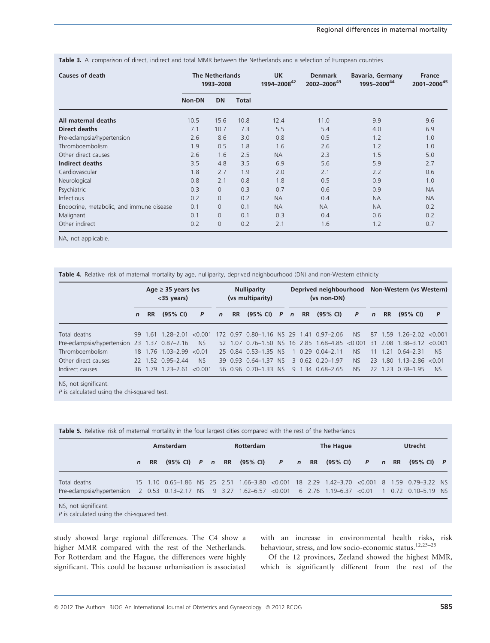| Causes of death                          |        | <b>The Netherlands</b><br>1993-2008 |              | <b>UK</b><br>1994-2008 <sup>42</sup> | <b>Denmark</b><br>2002-200643 | <b>Bavaria, Germany</b><br>1995-2000 <sup>44</sup> | France<br>2001-200645 |  |
|------------------------------------------|--------|-------------------------------------|--------------|--------------------------------------|-------------------------------|----------------------------------------------------|-----------------------|--|
|                                          | Non-DN | <b>DN</b>                           | <b>Total</b> |                                      |                               |                                                    |                       |  |
| All maternal deaths                      | 10.5   | 15.6                                | 10.8         | 12.4                                 | 11.0                          | 9.9                                                | 9.6                   |  |
| <b>Direct deaths</b>                     | 7.1    | 10.7                                | 7.3          | 5.5                                  | 5.4                           | 4.0                                                | 6.9                   |  |
| Pre-eclampsia/hypertension               | 2.6    | 8.6                                 | 3.0          | 0.8                                  | 0.5                           | 1.2                                                | 1.0                   |  |
| Thromboembolism                          | 1.9    | 0.5                                 | 1.8          | 1.6                                  | 2.6                           | 1.2                                                | 1.0                   |  |
| Other direct causes                      | 2.6    | 1.6                                 | 2.5          | <b>NA</b>                            | 2.3                           | 1.5                                                | 5.0                   |  |
| Indirect deaths                          | 3.5    | 4.8                                 | 3.5          | 6.9                                  | 5.6                           | 5.9                                                | 2.7                   |  |
| Cardiovascular                           | 1.8    | 2.7                                 | 1.9          | 2.0                                  | 2.1                           | 2.2                                                | 0.6                   |  |
| Neurological                             | 0.8    | 2.1                                 | 0.8          | 1.8                                  | 0.5                           | 0.9                                                | 1.0                   |  |
| Psychiatric                              | 0.3    | $\Omega$                            | 0.3          | 0.7                                  | 0.6                           | 0.9                                                | <b>NA</b>             |  |
| <b>Infectious</b>                        | 0.2    | $\Omega$                            | 0.2          | <b>NA</b>                            | 0.4                           | <b>NA</b>                                          | <b>NA</b>             |  |
| Endocrine, metabolic, and immune disease | 0.1    | $\Omega$                            | 0.1          | <b>NA</b>                            | <b>NA</b>                     | <b>NA</b>                                          | 0.2                   |  |
| Malignant                                | 0.1    | $\mathbf{0}$                        | 0.1          | 0.3                                  | 0.4                           | 0.6                                                | 0.2                   |  |
| Other indirect                           | 0.2    | $\overline{0}$                      | 0.2          | 2.1                                  | 1.6                           | 1.2                                                | 0.7                   |  |

Table 3. A comparison of direct, indirect and total MMR between the Netherlands and a selection of European countries

NA, not applicable.

Table 4. Relative risk of maternal mortality by age, nulliparity, deprived neighbourhood (DN) and non-Western ethnicity

|                            | Age $\geq$ 35 years (vs<br>$<$ 35 years) |           |                          |              |             | <b>Nulliparity</b><br>(vs multiparity) |                                         |   |              |           | Deprived neighbourhood<br>(vs non-DN)         |           | Non-Western (vs Western) |           |                                   |           |  |
|----------------------------|------------------------------------------|-----------|--------------------------|--------------|-------------|----------------------------------------|-----------------------------------------|---|--------------|-----------|-----------------------------------------------|-----------|--------------------------|-----------|-----------------------------------|-----------|--|
|                            | $\mathbf n$                              | <b>RR</b> | $(95\% \; \text{Cl})$    | P            | $\mathbf n$ | <b>RR</b>                              | $(95\% \; \text{Cl})$                   | P | $\mathsf{n}$ | <b>RR</b> | $(95\% \; \text{Cl})$                         | P         | $\mathbf n$              | <b>RR</b> | $(95\% \, \text{Cl})$             | P         |  |
| Total deaths               | 99.                                      | -1.61     | 1 28–2 01                | $\leq$ 0.001 |             |                                        | 172 0.97 0.80-1.16 NS 29 1.41 0.97-2.06 |   |              |           |                                               | NS.       | 87                       |           | $159$ 1 26 - 2 0 2 $\leq$ 0 0 0 1 |           |  |
| Pre-eclampsia/hypertension | 23                                       | 1.37      | $0.87 - 2.16$            | <b>NS</b>    |             |                                        |                                         |   |              |           | 52 1.07 0.76-1.50 NS 16 2.85 1.68-4.85 <0.001 |           | 31                       | 2.08      | $1.38 - 3.12 \le 0.001$           |           |  |
| Thromboembolism            |                                          |           | 18 1.76 1.03-2.99 < 0.01 |              |             |                                        | 25 0.84 0.53-1.35 NS                    |   |              |           | $1$ 0.29 0.04-2.11                            | <b>NS</b> | 11                       | 1 2 1     | $0.64 - 2.31$                     | <b>NS</b> |  |
| Other direct causes        |                                          |           | 22 1 52 0 95-2 44        | <b>NS</b>    |             |                                        | 39 0.93 0.64-1.37 NS                    |   |              |           | 3 0 62 0 20 - 1 97                            | <b>NS</b> | 23                       |           | $180$ 1 13 - 2 86 $\leq 0.01$     |           |  |
| Indirect causes            |                                          | 36 1 79   | $123 - 261$              | < 0.001      |             |                                        | 56 0.96 0.70-1.33 NS                    |   |              |           | 9 1.34 0.68-2.65                              | <b>NS</b> | 22.                      | 1 2 3     | $0.78 - 1.95$                     | <b>NS</b> |  |

NS, not significant.

P is calculated using the chi-squared test.

| <b>Table 5.</b> Relative risk of maternal mortality in the four largest cities compared with the rest of the Netherlands |             |           |                                                                                            |  |  |  |           |   |           |  |               |  |                |  |                   |  |
|--------------------------------------------------------------------------------------------------------------------------|-------------|-----------|--------------------------------------------------------------------------------------------|--|--|--|-----------|---|-----------|--|---------------|--|----------------|--|-------------------|--|
|                                                                                                                          | Amsterdam   |           |                                                                                            |  |  |  | Rotterdam |   | The Hague |  |               |  | <b>Utrecht</b> |  |                   |  |
|                                                                                                                          | $\mathbf n$ | <b>RR</b> | $(95\% \text{ Cl})$ P n RR $(95\% \text{ Cl})$                                             |  |  |  |           | P |           |  | n RR (95% CI) |  |                |  | P n RR (95% CI) P |  |
| Total deaths                                                                                                             |             |           | 15 1.10 0.65-1.86 NS 25 2.51 1.66-3.80 <0.001 18 2.29 1.42-3.70 <0.001 8 1.59 0.79-3.22 NS |  |  |  |           |   |           |  |               |  |                |  |                   |  |
| Pre-eclampsia/hypertension 2 0.53 0.13-2.17 NS 9 3.27 1.62-6.57 <0.001 6 2.76 1.19-6.37 <0.01 1 0.72 0.10-5.19 NS        |             |           |                                                                                            |  |  |  |           |   |           |  |               |  |                |  |                   |  |

NS, not significant.

P is calculated using the chi-squared test.

study showed large regional differences. The C4 show a higher MMR compared with the rest of the Netherlands. For Rotterdam and the Hague, the differences were highly significant. This could be because urbanisation is associated with an increase in environmental health risks, risk behaviour, stress, and low socio-economic status.<sup>12,23–25</sup>

Of the 12 provinces, Zeeland showed the highest MMR, which is significantly different from the rest of the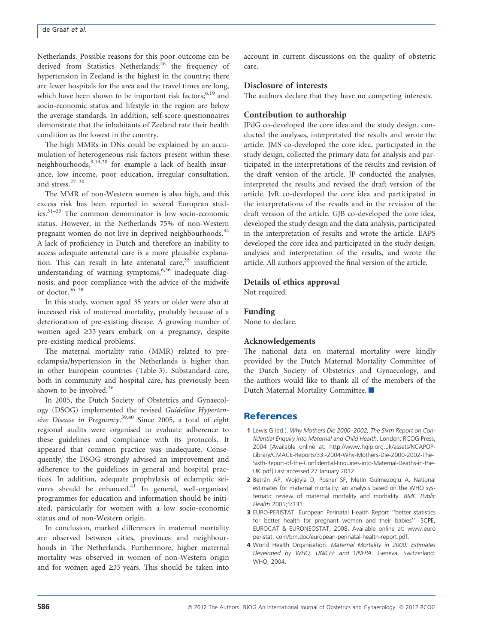Netherlands. Possible reasons for this poor outcome can be derived from Statistics Netherlands:<sup>26</sup> the frequency of hypertension in Zeeland is the highest in the country; there are fewer hospitals for the area and the travel times are long, which have been shown to be important risk factors;  $6.19$  and socio-economic status and lifestyle in the region are below the average standards. In addition, self-score questionnaires demonstrate that the inhabitants of Zeeland rate their health condition as the lowest in the country.

The high MMRs in DNs could be explained by an accumulation of heterogeneous risk factors present within these neighbourhoods,  $9,19,20$  for example a lack of health insurance, low income, poor education, irregular consultation, and stress.<sup>27-30</sup>

The MMR of non-Western women is also high, and this excess risk has been reported in several European studies.31–33 The common denominator is low socio-economic status. However, in the Netherlands 75% of non-Western pregnant women do not live in deprived neighbourhoods.<sup>34</sup> A lack of proficiency in Dutch and therefore an inability to access adequate antenatal care is a more plausible explanation. This can result in late antenatal care, $35$  insufficient understanding of warning symptoms,  $6,36$  inadequate diagnosis, and poor compliance with the advice of the midwife or doctor.<sup>36–38</sup>

In this study, women aged 35 years or older were also at increased risk of maternal mortality, probably because of a deterioration of pre-existing disease. A growing number of women aged  $\geq$ 35 years embark on a pregnancy, despite pre-existing medical problems.

The maternal mortality ratio (MMR) related to preeclampsia/hypertension in the Netherlands is higher than in other European countries (Table 3). Substandard care, both in community and hospital care, has previously been shown to be involved. $36$ 

In 2005, the Dutch Society of Obstetrics and Gynaecology (DSOG) implemented the revised Guideline Hypertensive Disease in Pregnancy.<sup>39,40</sup> Since 2005, a total of eight regional audits were organised to evaluate adherence to these guidelines and compliance with its protocols. It appeared that common practice was inadequate. Consequently, the DSOG strongly advised an improvement and adherence to the guidelines in general and hospital practices. In addition, adequate prophylaxis of eclamptic seizures should be enhanced. $41 \overline{1}$  m general, well-organised programmes for education and information should be initiated, particularly for women with a low socio-economic status and of non-Western origin.

In conclusion, marked differences in maternal mortality are observed between cities, provinces and neighbourhoods in The Netherlands. Furthermore, higher maternal mortality was observed in women of non-Western origin and for women aged  $\geq$ 35 years. This should be taken into

account in current discussions on the quality of obstetric care.

# Disclosure of interests

The authors declare that they have no competing interests.

# Contribution to authorship

JPdG co-developed the core idea and the study design, conducted the analyses, interpretated the results and wrote the article. JMS co-developed the core idea, participated in the study design, collected the primary data for analysis and participated in the interpretations of the results and revision of the draft version of the article. JP conducted the analyses, interpreted the results and revised the draft version of the article. JvR co-developed the core idea and participated in the interpretations of the results and in the revision of the draft version of the article. GJB co-developed the core idea, developed the study design and the data analysis, participated in the interpretation of results and wrote the article. EAPS developed the core idea and participated in the study design, analyses and interpretation of the results, and wrote the article. All authors approved the final version of the article.

#### Details of ethics approval

Not required.

### Funding

None to declare.

### Acknowledgements

The national data on maternal mortality were kindly provided by the Dutch Maternal Mortality Committee of the Dutch Society of Obstetrics and Gynaecology, and the authors would like to thank all of the members of the Dutch Maternal Mortality Committee.

## **References**

- 1 Lewis G (ed.). Why Mothers Die 2000–2002, The Sixth Report on Confidential Enquiry into Maternal and Child Health. London: RCOG Press, 2004 [Available online at: http://www.hqip.org.uk/assets/NCAPOP-Library/CMACE-Reports/33.-2004-Why-Mothers-Die-2000-2002-The-Sixth-Report-of-the-Confidential-Enquiries-into-Maternal-Deaths-in-the-UK.pdf] Last accessed 27 January 2012.
- 2 Betrán AP, Wojdyla D, Posner SF, Metin Gülmezoglu A. National estimates for maternal mortality: an analysis based on the WHO systematic review of maternal mortality and morbidity. BMC Public Health 2005;5:131.
- 3 EURO-PERISTAT. European Perinatal Health Report ''better statistics for better health for pregnant women and their babies''. SCPE, EUROCAT & EURONEOSTAT, 2008. Available online at: www.euro peristat. com/bm.doc/european-perinatal-health-report.pdf.
- 4 World Health Organisation. Maternal Mortality in 2000: Estimates Developed by WHO, UNICEF and UNFPA. Geneva, Switzerland: WHO, 2004.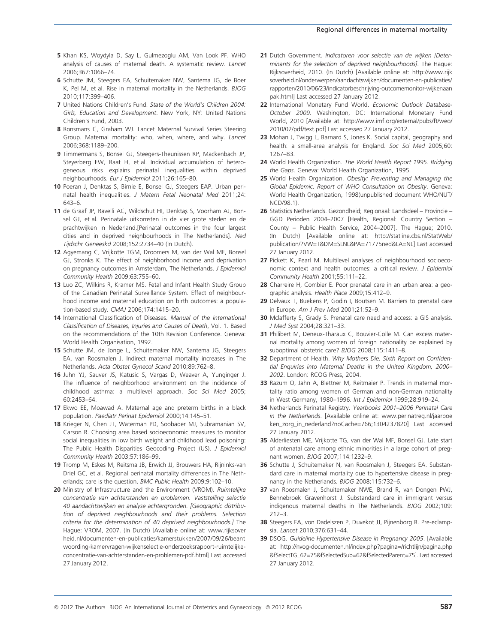- 5 Khan KS, Woydyla D, Say L, Gulmezoglu AM, Van Look PF. WHO analysis of causes of maternal death. A systematic review. Lancet 2006;367:1066–74.
- 6 Schutte JM, Steegers EA, Schuitemaker NW, Santema JG, de Boer K, Pel M, et al. Rise in maternal mortality in the Netherlands. BJOG 2010;117:399–406.
- 7 United Nations Children's Fund. State of the World's Children 2004: Girls, Education and Development. New York, NY: United Nations Children's Fund, 2003.
- 8 Ronsmans C, Graham WJ. Lancet Maternal Survival Series Steering Group. Maternal mortality: who, when, where, and why. Lancet 2006;368:1189–200.
- 9 Timmermans S, Bonsel GJ, Steegers-Theunissen RP, Mackenbach JP, Steyerberg EW, Raat H, et al. Individual accumulation of heterogeneous risks explains perinatal inequalities within deprived neighbourhoods. Eur J Epidemiol 2011;26:165–80.
- 10 Poeran J, Denktas S, Birnie E, Bonsel GJ, Steegers EAP. Urban perinatal health inequalities. J Matern Fetal Neonatal Med 2011;24: 643–6.
- 11 de Graaf JP, Ravelli AC, Wildschut HI, Denktas S, Voorham AJ, Bonsel GJ, et al. Perinatale uitkomsten in de vier grote steden en de prachtwijken in Nederland.[Perinatal outcomes in the four largest cities and in deprived neighbourhoods in The Netherlands]. Ned Tijdschr Geneeskd 2008;152:2734–40 (In Dutch).
- 12 Agyemang C, Vrijkotte TGM, Droomers M, van der Wal MF, Bonsel GJ, Stronks K. The effect of neighborhood income and deprivation on pregnancy outcomes in Amsterdam, The Netherlands. J Epidemiol Community Health 2009;63:755–60.
- 13 Luo ZC, Wilkins R, Kramer MS. Fetal and Infant Health Study Group of the Canadian Perinatal Surveillance System. Effect of neighbourhood income and maternal education on birth outcomes: a population-based study. CMAJ 2006;174:1415–20.
- 14 International Classification of Diseases. Manual of the International Classification of Diseases, Injuries and Causes of Death, Vol. 1. Based on the recommendations of the 10th Revision Conference. Geneva: World Health Organisation, 1992.
- 15 Schutte JM, de Jonge L, Schuitemaker NW, Santema JG, Steegers EA, van Roosmalen J. Indirect maternal mortality increases in The Netherlands. Acta Obstet Gynecol Scand 2010;89:762–8.
- 16 Juhn YJ, Sauver JS, Katusic S, Vargas D, Weaver A, Yunginger J. The influence of neighborhood environment on the incidence of childhood asthma: a multilevel approach. Soc Sci Med 2005; 60:2453–64.
- 17 Ekwo EE, Moawad A. Maternal age and preterm births in a black population. Paediatr Perinat Epidemiol 2000;14:145–51.
- 18 Krieger N, Chen JT, Waterman PD, Soobader MJ, Subramanian SV, Carson R. Choosing area based socioeconomic measures to monitor social inequalities in low birth weight and childhood lead poisoning: The Public Health Disparities Geocoding Project (US). J Epidemiol Community Health 2003;57:186–99.
- 19 Tromp M, Eskes M, Reitsma JB, Erwich JJ, Brouwers HA, Rijninks-van Driel GC, et al. Regional perinatal mortality differences in The Netherlands; care is the question. BMC Public Health 2009;9:102–10.
- 20 Ministry of Infrastructure and the Environment (VROM). Ruimtelijke concentratie van achterstanden en problemen. Vaststelling selectie 40 aandachtswijken en analyse achtergronden. [Geographic distribution of deprived neighbourhoods and their problems. Selection criteria for the determination of 40 deprived neighbourhoods.] The Hague: VROM, 2007. (In Dutch) [Available online at: www.rijksover heid.nl/documenten-en-publicaties/kamerstukken/2007/09/26/beant woording-kamervragen-wijkenselectie-onderzoeksrapport-ruimtelijkeconcentratie-van-achterstanden-en-problemen-pdf.html] Last accessed 27 January 2012.
- 21 Dutch Government. Indicatoren voor selectie van de wijken [Determinants for the selection of deprived neighbourhoods]. The Hague: Rijksoverheid, 2010. (In Dutch) [Available online at: http://www.rijk soverheid.nl/onderwerpen/aandachtswijken/documenten-en-publicaties/ rapporten/2010/06/23/indicatorbeschrijving-outcomemonitor-wijkenaan pak.html] Last accessed 27 January 2012.
- 22 International Monetary Fund World. Economic Outlook Database-October 2009. Washington, DC: International Monetary Fund World, 2010 [Available at: http://www.imf.org/external/pubs/ft/weo/ 2010/02/pdf/text.pdf] Last accessed 27 January 2012.
- 23 Mohan J, Twigg L, Barnard S, Jones K. Social capital, geography and health: a small-area analysis for England. Soc Sci Med 2005;60: 1267–83.
- 24 World Health Organization. The World Health Report 1995. Bridging the Gaps. Geneva: World Health Organization, 1995.
- 25 World Health Organization. Obesity: Preventing and Managing the Global Epidemic. Report of WHO Consultation on Obesity. Geneva: World Health Organization, 1998(unpublished document WHO/NUT/ NCD/98.1).
- 26 Statistics Netherlands. Gezondheid; Regionaal: Landsdeel Provincie GGD Perioden 2004–2007 [Health, Regional: Country Section – County – Public Health Service, 2004–2007]. The Hague; 2010. (In Dutch) [Available online at: http://statline.cbs.nl/StatWeb/ publication/?VW=T&DM=SLNL&PA=71775ned&LA=NL] Last accessed 27 January 2012.
- 27 Pickett K, Pearl M. Multilevel analyses of neighbourhood socioeconomic context and health outcomes: a critical review. J Epidemiol Community Health 2001;55:111–22.
- 28 Charreire H, Combier E. Poor prenatal care in an urban area: a geographic analysis. Health Place 2009;15:412–9.
- 29 Delvaux T, Buekens P, Godin I, Boutsen M. Barriers to prenatal care in Europe. Am J Prev Med 2001;21:52–9.
- 30 Mclafferty S, Grady S. Prenatal care need and access: a GIS analysis. J Med Syst 2004;28:321–33.
- 31 Philibert M, Deneux-Tharaux C, Bouvier-Colle M. Can excess maternal mortality among women of foreign nationality be explained by suboptimal obstetric care? BJOG 2008;115:1411–8.
- 32 Department of Health. Why Mothers Die. Sixth Report on Confidential Enquiries into Maternal Deaths in the United Kingdom, 2000– 2002. London: RCOG Press, 2004.
- 33 Razum O, Jahn A, Blettner M, Reitmaier P. Trends in maternal mortality ratio among women of German and non-German nationality in West Germany, 1980–1996. Int J Epidemiol 1999;28:919–24.
- 34 Netherlands Perinatal Registry. Yearbooks 2001-2006 Perinatal Care in the Netherlands. [Available online at: www.perinatreg.nl/jaarboe ken\_zorg\_in\_nederland?noCache=766;1304237820] Last accessed 27 January 2012.
- 35 Alderliesten ME, Vrijkotte TG, van der Wal MF, Bonsel GJ. Late start of antenatal care among ethnic minorities in a large cohort of pregnant women. BJOG 2007;114:1232–9.
- 36 Schutte J, Schuitemaker N, van Roosmalen J, Steegers EA. Substandard care in maternal mortality due to hypertensive disease in pregnancy in the Netherlands. BJOG 2008;115:732–6.
- 37 van Roosmalen J, Schuitemaker NWE, Brand R, van Dongen PWJ, Bennebroek Gravenhorst J. Substandard care in immigrant versus indigenous maternal deaths in The Netherlands. BJOG 2002;109: 212–3.
- 38 Steegers EA, von Dadelszen P, Duvekot JJ, Pijnenborg R. Pre-eclampsia. Lancet 2010;376:631–44.
- 39 DSOG. Guideline Hypertensive Disease in Pregnancy 2005. [Available at: http://nvog-documenten.nl/index.php?pagina=/richtlijn/pagina.php &fSelectTG\_62=75&fSelectedSub=62&fSelectedParent=75]. Last accessed 27 January 2012.